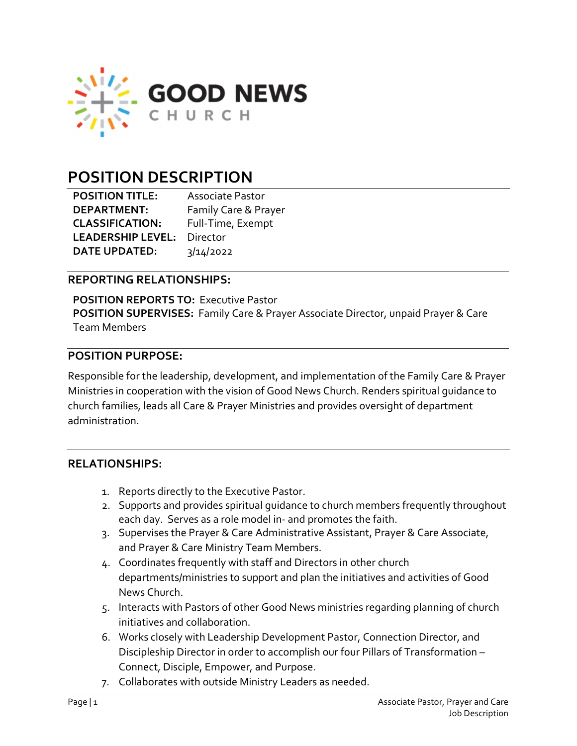

# POSITION DESCRIPTION

| <b>POSITION TITLE:</b>   | <b>Associate Pastor</b> |
|--------------------------|-------------------------|
| <b>DEPARTMENT:</b>       | Family Care & Prayer    |
| <b>CLASSIFICATION:</b>   | Full-Time, Exempt       |
| <b>LEADERSHIP LEVEL:</b> | Director                |
| <b>DATE UPDATED:</b>     | 3/14/2022               |

#### REPORTING RELATIONSHIPS:

POSITION REPORTS TO: Executive Pastor POSITION SUPERVISES: Family Care & Prayer Associate Director, unpaid Prayer & Care Team Members

#### POSITION PURPOSE:

Responsible for the leadership, development, and implementation of the Family Care & Prayer Ministries in cooperation with the vision of Good News Church. Renders spiritual guidance to church families, leads all Care & Prayer Ministries and provides oversight of department administration.

#### RELATIONSHIPS:

- 1. Reports directly to the Executive Pastor.
- 2. Supports and provides spiritual guidance to church members frequently throughout each day. Serves as a role model in- and promotes the faith.
- 3. Supervises the Prayer & Care Administrative Assistant, Prayer & Care Associate, and Prayer & Care Ministry Team Members.
- 4. Coordinates frequently with staff and Directors in other church departments/ministries to support and plan the initiatives and activities of Good News Church.
- 5. Interacts with Pastors of other Good News ministries regarding planning of church initiatives and collaboration.
- 6. Works closely with Leadership Development Pastor, Connection Director, and Discipleship Director in order to accomplish our four Pillars of Transformation – Connect, Disciple, Empower, and Purpose.
- 7. Collaborates with outside Ministry Leaders as needed.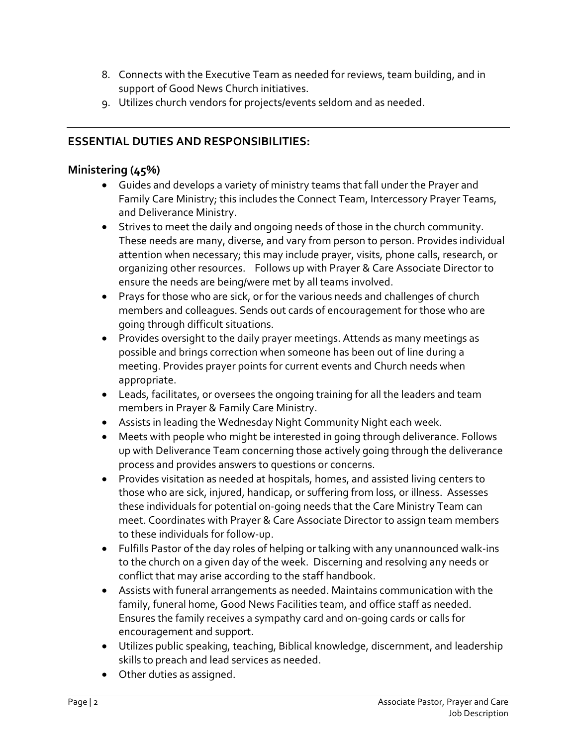- 8. Connects with the Executive Team as needed for reviews, team building, and in support of Good News Church initiatives.
- 9. Utilizes church vendors for projects/events seldom and as needed.

# ESSENTIAL DUTIES AND RESPONSIBILITIES:

#### Ministering (45%)

- Guides and develops a variety of ministry teams that fall under the Prayer and Family Care Ministry; this includes the Connect Team, Intercessory Prayer Teams, and Deliverance Ministry.
- Strives to meet the daily and ongoing needs of those in the church community. These needs are many, diverse, and vary from person to person. Provides individual attention when necessary; this may include prayer, visits, phone calls, research, or organizing other resources. Follows up with Prayer & Care Associate Director to ensure the needs are being/were met by all teams involved.
- Prays for those who are sick, or for the various needs and challenges of church members and colleagues. Sends out cards of encouragement for those who are going through difficult situations.
- Provides oversight to the daily prayer meetings. Attends as many meetings as possible and brings correction when someone has been out of line during a meeting. Provides prayer points for current events and Church needs when appropriate.
- Leads, facilitates, or oversees the ongoing training for all the leaders and team members in Prayer & Family Care Ministry.
- Assists in leading the Wednesday Night Community Night each week.
- Meets with people who might be interested in going through deliverance. Follows up with Deliverance Team concerning those actively going through the deliverance process and provides answers to questions or concerns.
- Provides visitation as needed at hospitals, homes, and assisted living centers to those who are sick, injured, handicap, or suffering from loss, or illness. Assesses these individuals for potential on-going needs that the Care Ministry Team can meet. Coordinates with Prayer & Care Associate Director to assign team members to these individuals for follow-up.
- Fulfills Pastor of the day roles of helping or talking with any unannounced walk-ins to the church on a given day of the week. Discerning and resolving any needs or conflict that may arise according to the staff handbook.
- Assists with funeral arrangements as needed. Maintains communication with the family, funeral home, Good News Facilities team, and office staff as needed. Ensures the family receives a sympathy card and on-going cards or calls for encouragement and support.
- Utilizes public speaking, teaching, Biblical knowledge, discernment, and leadership skills to preach and lead services as needed.
- Other duties as assigned.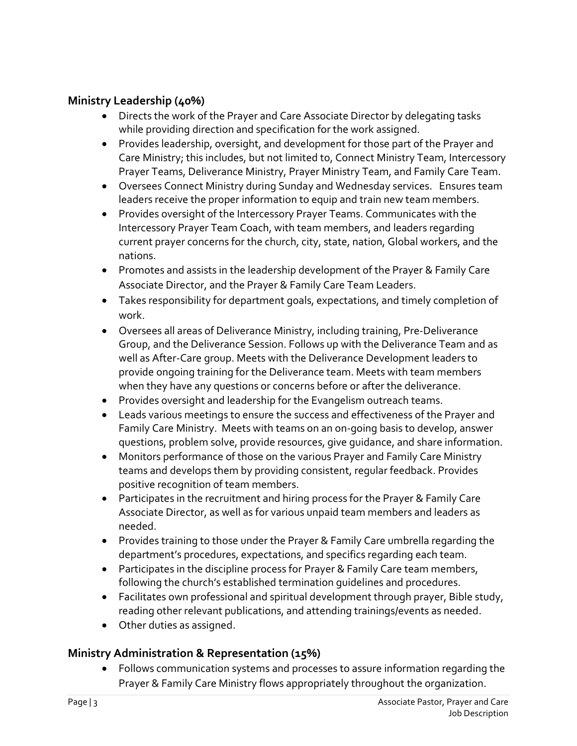#### Ministry Leadership (40%)

- Directs the work of the Prayer and Care Associate Director by delegating tasks while providing direction and specification for the work assigned.
- Provides leadership, oversight, and development for those part of the Prayer and Care Ministry; this includes, but not limited to, Connect Ministry Team, Intercessory Prayer Teams, Deliverance Ministry, Prayer Ministry Team, and Family Care Team.
- Oversees Connect Ministry during Sunday and Wednesday services. Ensures team leaders receive the proper information to equip and train new team members.
- Provides oversight of the Intercessory Prayer Teams. Communicates with the Intercessory Prayer Team Coach, with team members, and leaders regarding current prayer concerns for the church, city, state, nation, Global workers, and the nations.
- Promotes and assists in the leadership development of the Prayer & Family Care Associate Director, and the Prayer & Family Care Team Leaders.
- Takes responsibility for department goals, expectations, and timely completion of work.
- Oversees all areas of Deliverance Ministry, including training, Pre-Deliverance Group, and the Deliverance Session. Follows up with the Deliverance Team and as well as After-Care group. Meets with the Deliverance Development leaders to provide ongoing training for the Deliverance team. Meets with team members when they have any questions or concerns before or after the deliverance.
- Provides oversight and leadership for the Evangelism outreach teams.
- Leads various meetings to ensure the success and effectiveness of the Prayer and Family Care Ministry. Meets with teams on an on-going basis to develop, answer questions, problem solve, provide resources, give guidance, and share information.
- Monitors performance of those on the various Prayer and Family Care Ministry teams and develops them by providing consistent, regular feedback. Provides positive recognition of team members.
- Participates in the recruitment and hiring process for the Prayer & Family Care Associate Director, as well as for various unpaid team members and leaders as needed.
- Provides training to those under the Prayer & Family Care umbrella regarding the department's procedures, expectations, and specifics regarding each team.
- Participates in the discipline process for Prayer & Family Care team members, following the church's established termination guidelines and procedures.
- Facilitates own professional and spiritual development through prayer, Bible study, reading other relevant publications, and attending trainings/events as needed.
- Other duties as assigned.

## Ministry Administration & Representation (15%)

 Follows communication systems and processes to assure information regarding the Prayer & Family Care Ministry flows appropriately throughout the organization.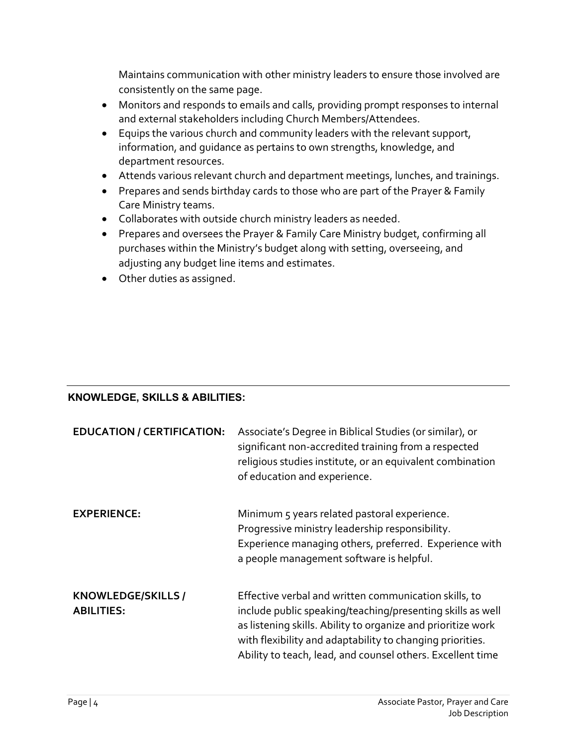Maintains communication with other ministry leaders to ensure those involved are consistently on the same page.

- Monitors and responds to emails and calls, providing prompt responses to internal and external stakeholders including Church Members/Attendees.
- Equips the various church and community leaders with the relevant support, information, and guidance as pertains to own strengths, knowledge, and department resources.
- Attends various relevant church and department meetings, lunches, and trainings.
- Prepares and sends birthday cards to those who are part of the Prayer & Family Care Ministry teams.
- Collaborates with outside church ministry leaders as needed.
- Prepares and oversees the Prayer & Family Care Ministry budget, confirming all purchases within the Ministry's budget along with setting, overseeing, and adjusting any budget line items and estimates.
- Other duties as assigned.

## KNOWLEDGE, SKILLS & ABILITIES:

| <b>EDUCATION / CERTIFICATION:</b>       | Associate's Degree in Biblical Studies (or similar), or<br>significant non-accredited training from a respected<br>religious studies institute, or an equivalent combination<br>of education and experience.                                                                                                   |
|-----------------------------------------|----------------------------------------------------------------------------------------------------------------------------------------------------------------------------------------------------------------------------------------------------------------------------------------------------------------|
| <b>EXPERIENCE:</b>                      | Minimum 5 years related pastoral experience.<br>Progressive ministry leadership responsibility.<br>Experience managing others, preferred. Experience with<br>a people management software is helpful.                                                                                                          |
| KNOWLEDGE/SKILLS /<br><b>ABILITIES:</b> | Effective verbal and written communication skills, to<br>include public speaking/teaching/presenting skills as well<br>as listening skills. Ability to organize and prioritize work<br>with flexibility and adaptability to changing priorities.<br>Ability to teach, lead, and counsel others. Excellent time |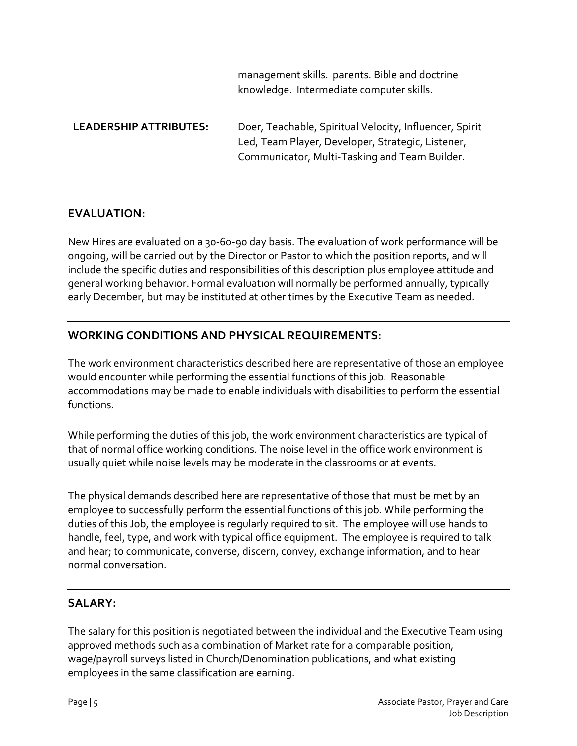|                               | knowledge. Intermediate computer skills.                                                                                                                      |
|-------------------------------|---------------------------------------------------------------------------------------------------------------------------------------------------------------|
| <b>LEADERSHIP ATTRIBUTES:</b> | Doer, Teachable, Spiritual Velocity, Influencer, Spirit<br>Led, Team Player, Developer, Strategic, Listener,<br>Communicator, Multi-Tasking and Team Builder. |

management skills. parents. Bible and doctrine

#### EVALUATION:

New Hires are evaluated on a 30-60-90 day basis. The evaluation of work performance will be ongoing, will be carried out by the Director or Pastor to which the position reports, and will include the specific duties and responsibilities of this description plus employee attitude and general working behavior. Formal evaluation will normally be performed annually, typically early December, but may be instituted at other times by the Executive Team as needed.

## WORKING CONDITIONS AND PHYSICAL REQUIREMENTS:

The work environment characteristics described here are representative of those an employee would encounter while performing the essential functions of this job. Reasonable accommodations may be made to enable individuals with disabilities to perform the essential functions.

While performing the duties of this job, the work environment characteristics are typical of that of normal office working conditions. The noise level in the office work environment is usually quiet while noise levels may be moderate in the classrooms or at events.

The physical demands described here are representative of those that must be met by an employee to successfully perform the essential functions of this job. While performing the duties of this Job, the employee is regularly required to sit. The employee will use hands to handle, feel, type, and work with typical office equipment. The employee is required to talk and hear; to communicate, converse, discern, convey, exchange information, and to hear normal conversation.

## SALARY:

The salary for this position is negotiated between the individual and the Executive Team using approved methods such as a combination of Market rate for a comparable position, wage/payroll surveys listed in Church/Denomination publications, and what existing employees in the same classification are earning.